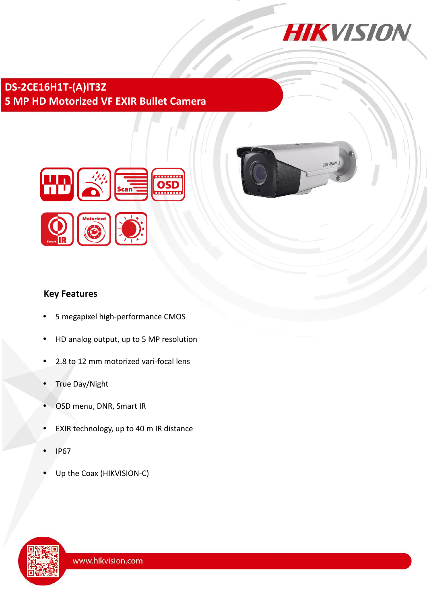

HIKVISION

## **DS-2CE16H1T-(A)IT3Z 5 MP HD Motorized VF EXIR Bullet Camera**



### **Key Features**

- 5 megapixel high-performance CMOS
- HD analog output, up to 5 MP resolution
- 2.8 to 12 mm motorized vari-focal lens
- True Day/Night
- OSD menu, DNR, Smart IR
- EXIR technology, up to 40 m IR distance
- IP67
- Up the Coax (HIKVISION-C)

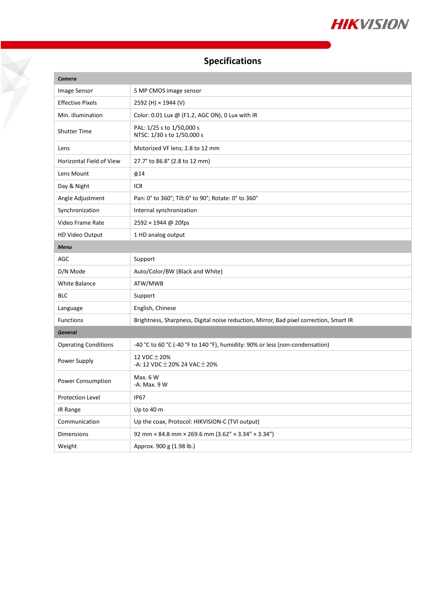

# **Specifications**

Ž

| <b>Camera</b>                   |                                                                                        |
|---------------------------------|----------------------------------------------------------------------------------------|
| Image Sensor                    | 5 MP CMOS image sensor                                                                 |
| <b>Effective Pixels</b>         | 2592 (H) × 1944 (V)                                                                    |
| Min. illumination               | Color: 0.01 Lux @ (F1.2, AGC ON), 0 Lux with IR                                        |
| <b>Shutter Time</b>             | PAL: 1/25 s to 1/50,000 s<br>NTSC: 1/30 s to 1/50,000 s                                |
| Lens                            | Motorized VF lens; 2.8 to 12 mm                                                        |
| <b>Horizontal Field of View</b> | 27.7° to 86.8° (2.8 to 12 mm)                                                          |
| Lens Mount                      | $\phi$ 14                                                                              |
| Day & Night                     | <b>ICR</b>                                                                             |
| Angle Adjustment                | Pan: 0° to 360°; Tilt:0° to 90°; Rotate: 0° to 360°                                    |
| Synchronization                 | Internal synchronization                                                               |
| Video Frame Rate                | 2592 × 1944 @ 20fps                                                                    |
| HD Video Output                 | 1 HD analog output                                                                     |
| <b>Menu</b>                     |                                                                                        |
| AGC                             | Support                                                                                |
| D/N Mode                        | Auto/Color/BW (Black and White)                                                        |
| White Balance                   | ATW/MWB                                                                                |
| <b>BLC</b>                      | Support                                                                                |
| Language                        | English, Chinese                                                                       |
| <b>Functions</b>                | Brightness, Sharpness, Digital noise reduction, Mirror, Bad pixel correction, Smart IR |
| <b>General</b>                  |                                                                                        |
| <b>Operating Conditions</b>     | -40 °C to 60 °C (-40 °F to 140 °F), humidity: 90% or less (non-condensation)           |
| Power Supply                    | 12 VDC $\pm$ 20%<br>-A: 12 VDC $\pm$ 20% 24 VAC $\pm$ 20%                              |
| Power Consumption               | Max. 6 W<br>-A: Max. 9 W                                                               |
| Protection Level                | IP67                                                                                   |
| IR Range                        | Up to 40 m                                                                             |
| Communication                   | Up the coax, Protocol: HIKVISION-C (TVI output)                                        |
| Dimensions                      | 92 mm × 84.8 mm × 269.6 mm (3.62" × 3.34" × 3.34")                                     |
| Weight                          | Approx. 900 g (1.98 lb.)                                                               |